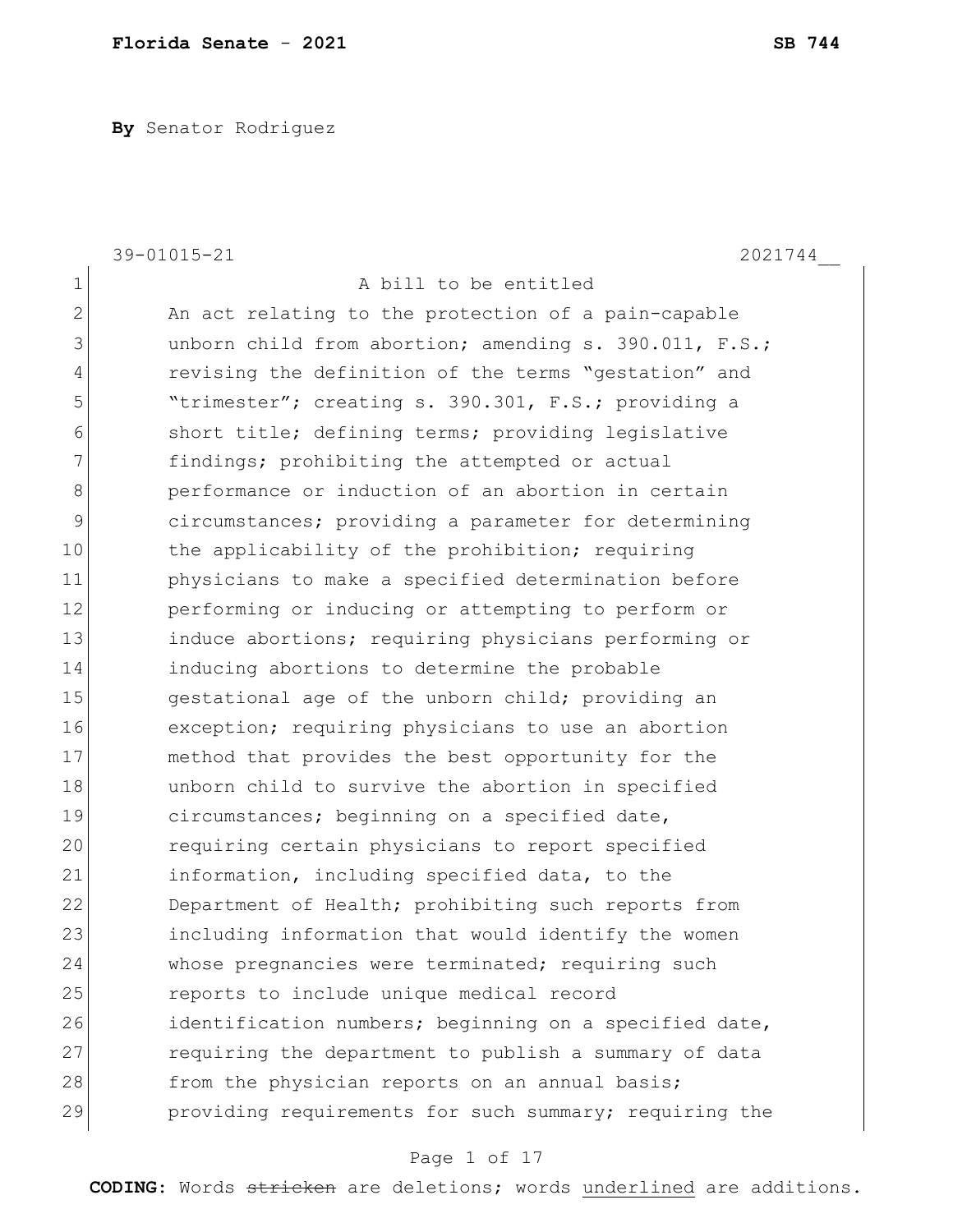**By** Senator Rodriguez

|                | 39-01015-21<br>2021744                                 |
|----------------|--------------------------------------------------------|
| $\mathbf 1$    | A bill to be entitled                                  |
| $\overline{2}$ | An act relating to the protection of a pain-capable    |
| 3              | unborn child from abortion; amending s. 390.011, F.S.; |
| 4              | revising the definition of the terms "gestation" and   |
| 5              | "trimester"; creating s. 390.301, F.S.; providing a    |
| 6              | short title; defining terms; providing legislative     |
| 7              | findings; prohibiting the attempted or actual          |
| 8              | performance or induction of an abortion in certain     |
| 9              | circumstances; providing a parameter for determining   |
| 10             | the applicability of the prohibition; requiring        |
| 11             | physicians to make a specified determination before    |
| 12             | performing or inducing or attempting to perform or     |
| 13             | induce abortions; requiring physicians performing or   |
| 14             | inducing abortions to determine the probable           |
| 15             | gestational age of the unborn child; providing an      |
| 16             | exception; requiring physicians to use an abortion     |
| 17             | method that provides the best opportunity for the      |
| 18             | unborn child to survive the abortion in specified      |
| 19             | circumstances; beginning on a specified date,          |
| 20             | requiring certain physicians to report specified       |
| 21             | information, including specified data, to the          |
| 22             | Department of Health; prohibiting such reports from    |
| 23             | including information that would identify the women    |
| 24             | whose pregnancies were terminated; requiring such      |
| 25             | reports to include unique medical record               |
| 26             | identification numbers; beginning on a specified date, |
| 27             | requiring the department to publish a summary of data  |
| 28             | from the physician reports on an annual basis;         |
| 29             | providing requirements for such summary; requiring the |

# Page 1 of 17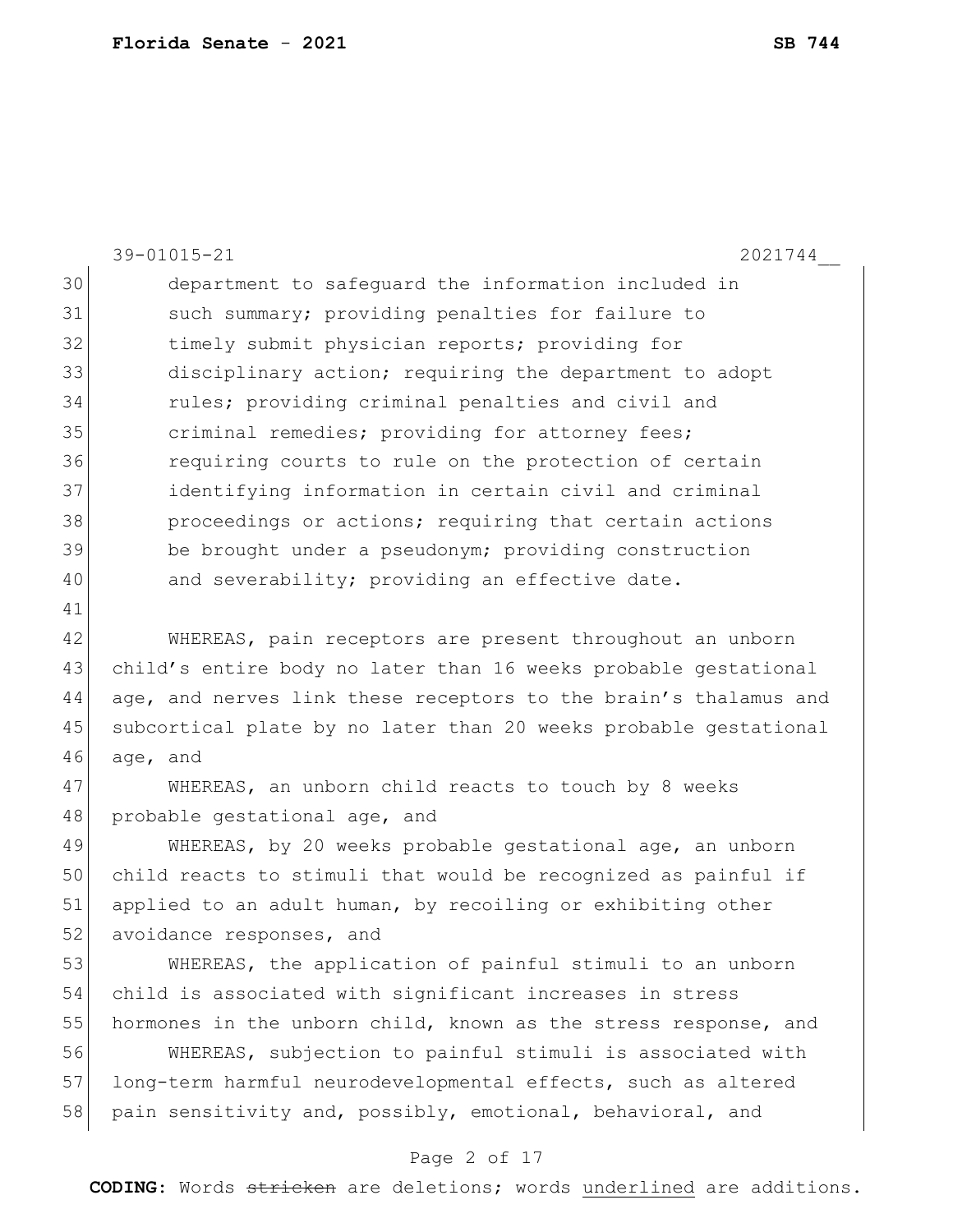|    | 39-01015-21<br>2021744                                           |
|----|------------------------------------------------------------------|
| 30 | department to safeguard the information included in              |
| 31 | such summary; providing penalties for failure to                 |
| 32 | timely submit physician reports; providing for                   |
| 33 | disciplinary action; requiring the department to adopt           |
| 34 | rules; providing criminal penalties and civil and                |
| 35 | criminal remedies; providing for attorney fees;                  |
| 36 | requiring courts to rule on the protection of certain            |
| 37 | identifying information in certain civil and criminal            |
| 38 | proceedings or actions; requiring that certain actions           |
| 39 | be brought under a pseudonym; providing construction             |
| 40 | and severability; providing an effective date.                   |
| 41 |                                                                  |
| 42 | WHEREAS, pain receptors are present throughout an unborn         |
| 43 | child's entire body no later than 16 weeks probable gestational  |
| 44 | age, and nerves link these receptors to the brain's thalamus and |
| 45 | subcortical plate by no later than 20 weeks probable gestational |
| 46 | age, and                                                         |
| 47 | WHEREAS, an unborn child reacts to touch by 8 weeks              |
| 48 | probable gestational age, and                                    |
| 49 | WHEREAS, by 20 weeks probable gestational age, an unborn         |
| 50 | child reacts to stimuli that would be recognized as painful if   |
| 51 | applied to an adult human, by recoiling or exhibiting other      |
| 52 | avoidance responses, and                                         |
| 53 | WHEREAS, the application of painful stimuli to an unborn         |
| 54 | child is associated with significant increases in stress         |

 WHEREAS, subjection to painful stimuli is associated with 57 long-term harmful neurodevelopmental effects, such as altered 58 pain sensitivity and, possibly, emotional, behavioral, and

55 hormones in the unborn child, known as the stress response, and

#### Page 2 of 17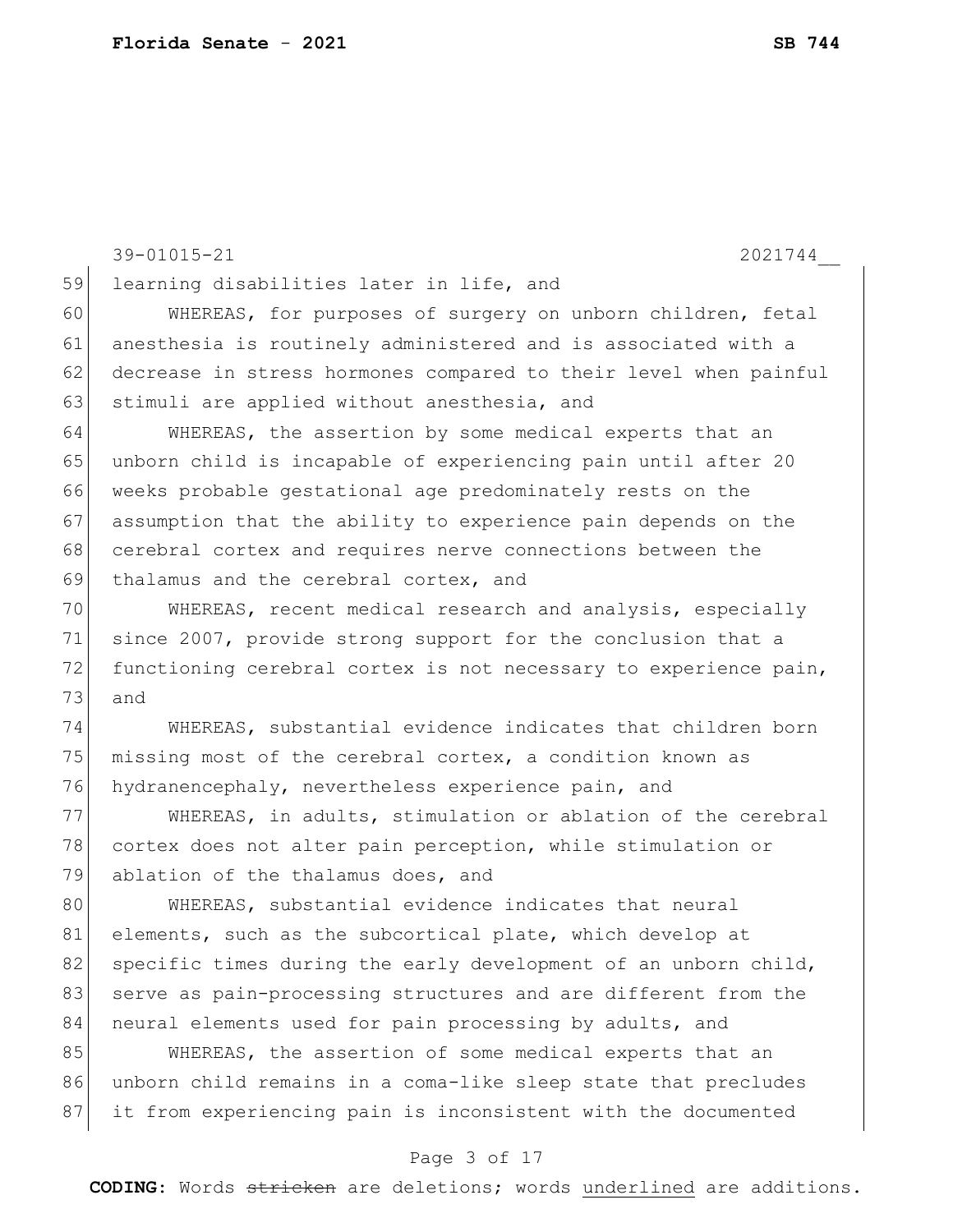39-01015-21 2021744\_\_ Page 3 of 17 59 learning disabilities later in life, and 60 WHEREAS, for purposes of surgery on unborn children, fetal 61 anesthesia is routinely administered and is associated with a 62 decrease in stress hormones compared to their level when painful 63 stimuli are applied without anesthesia, and 64 WHEREAS, the assertion by some medical experts that an 65 unborn child is incapable of experiencing pain until after 20 66 weeks probable gestational age predominately rests on the 67 assumption that the ability to experience pain depends on the 68 cerebral cortex and requires nerve connections between the 69 thalamus and the cerebral cortex, and 70 WHEREAS, recent medical research and analysis, especially 71 since 2007, provide strong support for the conclusion that a 72 functioning cerebral cortex is not necessary to experience pain, 73 and 74 WHEREAS, substantial evidence indicates that children born 75 missing most of the cerebral cortex, a condition known as 76 hydranencephaly, nevertheless experience pain, and 77 WHEREAS, in adults, stimulation or ablation of the cerebral 78 cortex does not alter pain perception, while stimulation or 79 ablation of the thalamus does, and 80 WHEREAS, substantial evidence indicates that neural 81 elements, such as the subcortical plate, which develop at 82 specific times during the early development of an unborn child, 83 serve as pain-processing structures and are different from the 84 neural elements used for pain processing by adults, and 85 WHEREAS, the assertion of some medical experts that an 86 unborn child remains in a coma-like sleep state that precludes 87 it from experiencing pain is inconsistent with the documented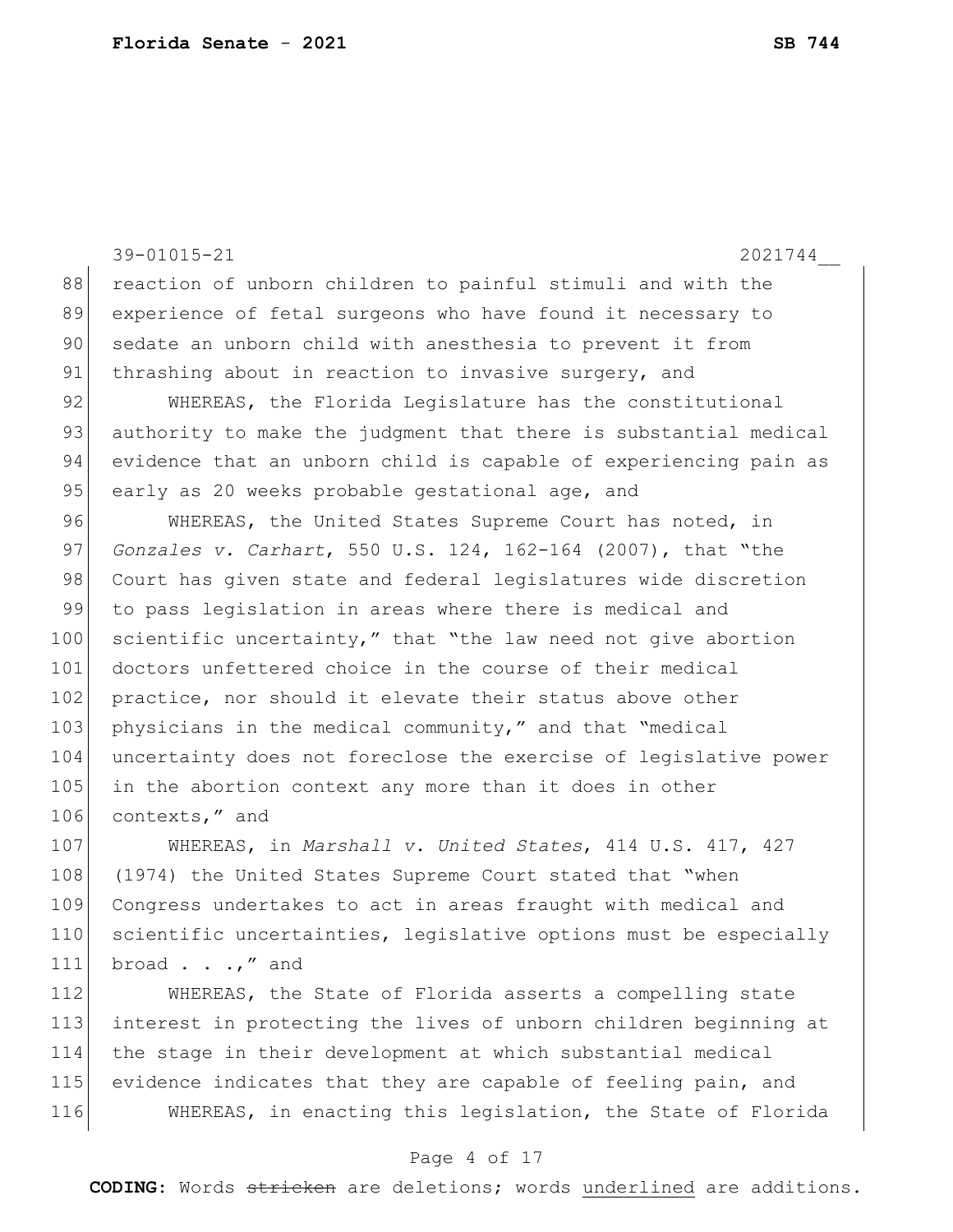39-01015-21 2021744\_\_ 88 reaction of unborn children to painful stimuli and with the 89 experience of fetal surgeons who have found it necessary to 90 sedate an unborn child with anesthesia to prevent it from 91 thrashing about in reaction to invasive surgery, and 92 WHEREAS, the Florida Legislature has the constitutional 93 authority to make the judgment that there is substantial medical 94 evidence that an unborn child is capable of experiencing pain as 95 early as 20 weeks probable gestational age, and 96 WHEREAS, the United States Supreme Court has noted, in 97 *Gonzales v. Carhart*, 550 U.S. 124, 162-164 (2007), that "the 98 Court has given state and federal legislatures wide discretion 99 to pass legislation in areas where there is medical and 100 scientific uncertainty," that "the law need not give abortion 101 doctors unfettered choice in the course of their medical 102 practice, nor should it elevate their status above other 103 physicians in the medical community," and that "medical 104 uncertainty does not foreclose the exercise of legislative power 105 in the abortion context any more than it does in other 106 contexts," and 107 WHEREAS, in *Marshall v. United States*, 414 U.S. 417, 427 108 (1974) the United States Supreme Court stated that "when 109 Congress undertakes to act in areas fraught with medical and 110 scientific uncertainties, legislative options must be especially 111 broad  $\ldots$ , " and 112 WHEREAS, the State of Florida asserts a compelling state 113 interest in protecting the lives of unborn children beginning at 114 the stage in their development at which substantial medical

115 evidence indicates that they are capable of feeling pain, and 116 WHEREAS, in enacting this legislation, the State of Florida

#### Page 4 of 17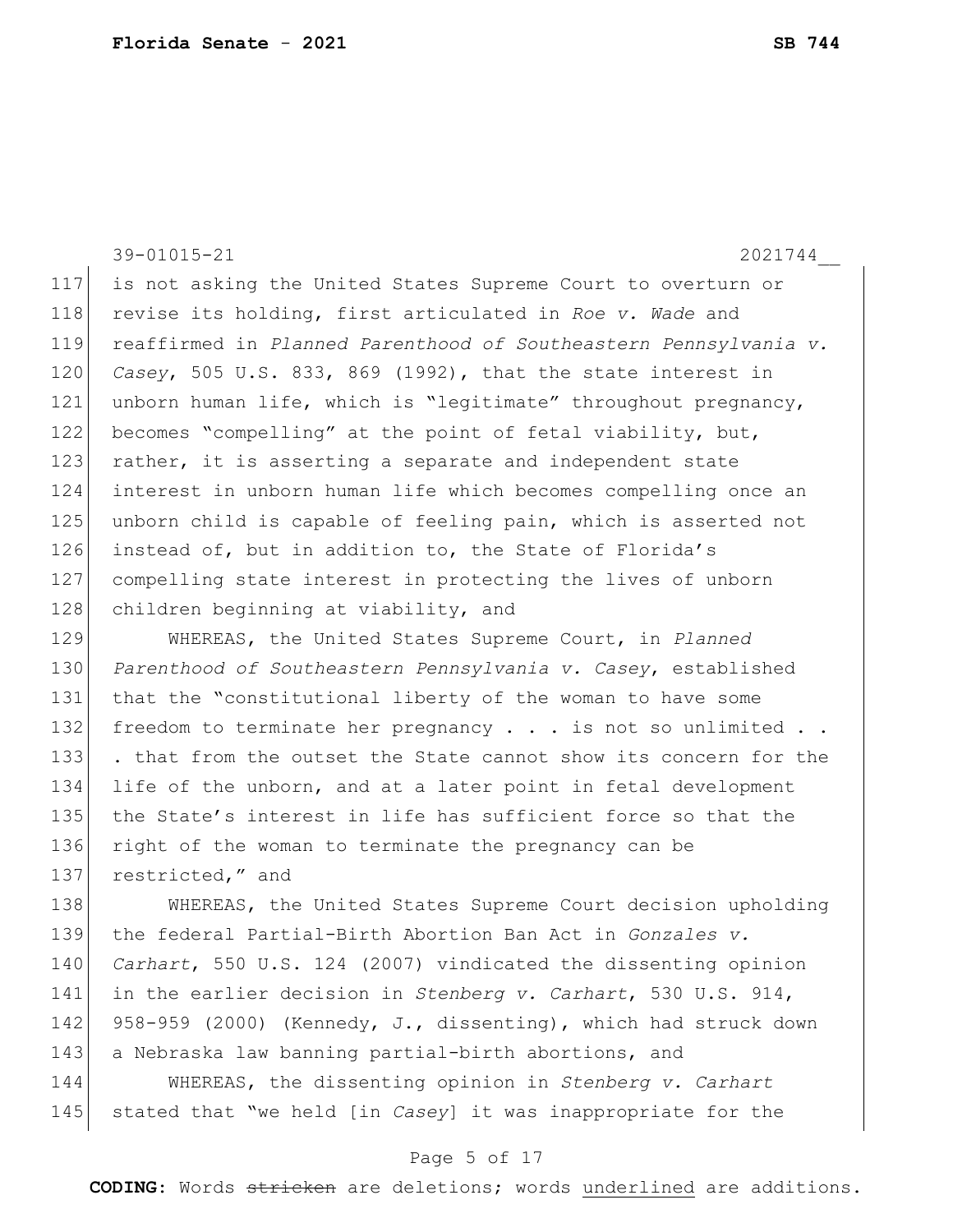39-01015-21 2021744\_\_ 117 is not asking the United States Supreme Court to overturn or 118 revise its holding, first articulated in *Roe v. Wade* and 119 reaffirmed in *Planned Parenthood of Southeastern Pennsylvania v.*  120 *Casey*, 505 U.S. 833, 869 (1992), that the state interest in 121 unborn human life, which is "legitimate" throughout pregnancy, 122 becomes "compelling" at the point of fetal viability, but, 123 rather, it is asserting a separate and independent state 124 interest in unborn human life which becomes compelling once an 125 unborn child is capable of feeling pain, which is asserted not 126 instead of, but in addition to, the State of Florida's 127 compelling state interest in protecting the lives of unborn 128 children beginning at viability, and 129 WHEREAS, the United States Supreme Court, in *Planned*  130 *Parenthood of Southeastern Pennsylvania v. Casey*, established 131 that the "constitutional liberty of the woman to have some 132 freedom to terminate her pregnancy  $\ldots$  is not so unlimited  $\ldots$ 133 . that from the outset the State cannot show its concern for the

134 life of the unborn, and at a later point in fetal development 135 the State's interest in life has sufficient force so that the 136 right of the woman to terminate the pregnancy can be 137 restricted," and

138 WHEREAS, the United States Supreme Court decision upholding 139 the federal Partial-Birth Abortion Ban Act in *Gonzales v.*  140 *Carhart*, 550 U.S. 124 (2007) vindicated the dissenting opinion 141 in the earlier decision in *Stenberg v. Carhart*, 530 U.S. 914, 142 958-959 (2000) (Kennedy, J., dissenting), which had struck down 143 a Nebraska law banning partial-birth abortions, and

144 WHEREAS, the dissenting opinion in *Stenberg v. Carhart* 145 stated that "we held [in *Casey*] it was inappropriate for the

#### Page 5 of 17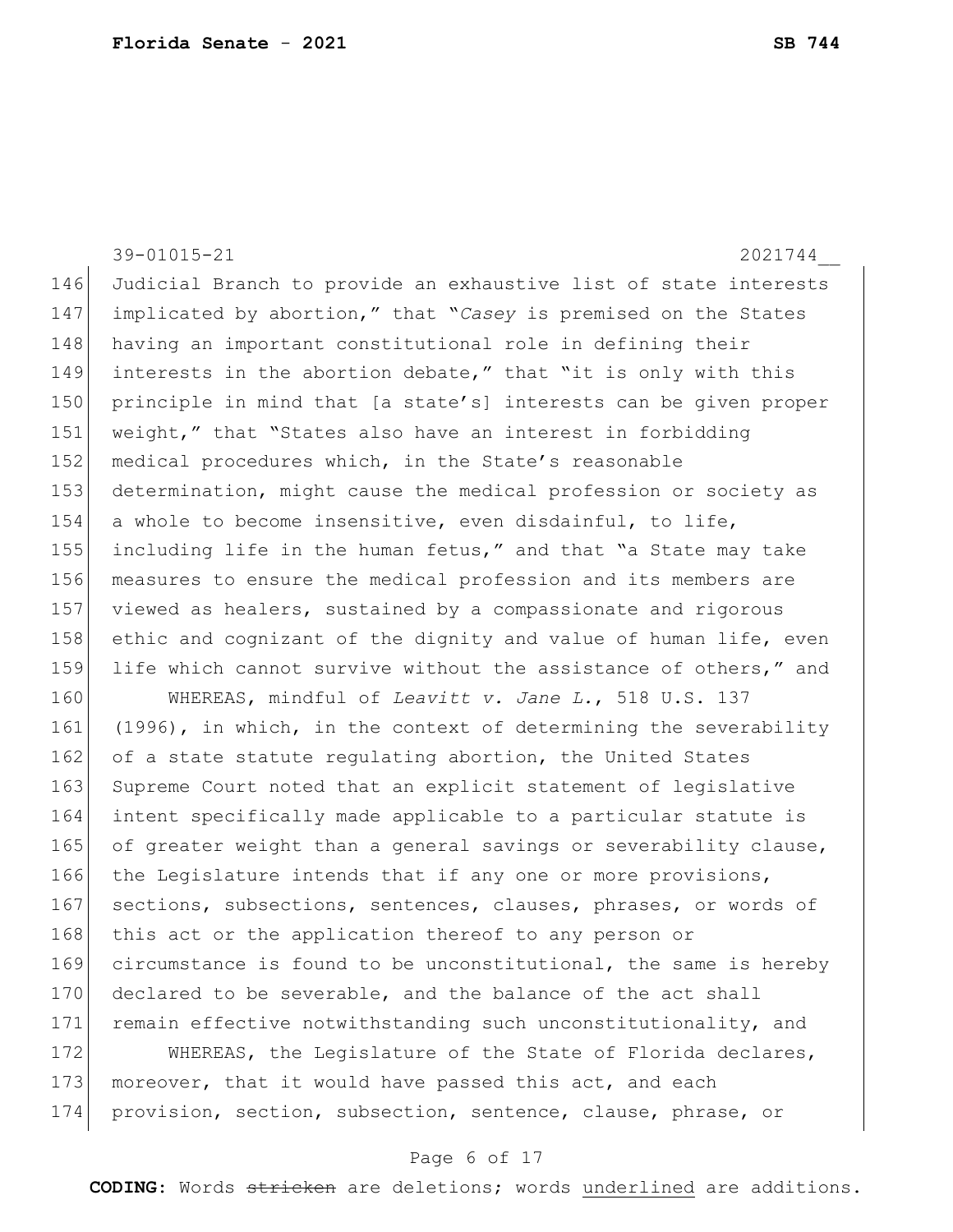|     | 39-01015-21<br>2021744                                           |
|-----|------------------------------------------------------------------|
| 146 | Judicial Branch to provide an exhaustive list of state interests |
| 147 | implicated by abortion," that "Casey is premised on the States   |
| 148 | having an important constitutional role in defining their        |
| 149 | interests in the abortion debate," that "it is only with this    |
| 150 | principle in mind that [a state's] interests can be given proper |
| 151 | weight," that "States also have an interest in forbidding        |
| 152 | medical procedures which, in the State's reasonable              |
| 153 | determination, might cause the medical profession or society as  |
| 154 | a whole to become insensitive, even disdainful, to life,         |
| 155 | including life in the human fetus," and that "a State may take   |
| 156 | measures to ensure the medical profession and its members are    |
| 157 | viewed as healers, sustained by a compassionate and rigorous     |
| 158 | ethic and cognizant of the dignity and value of human life, even |
| 159 | life which cannot survive without the assistance of others," and |
| 160 | WHEREAS, mindful of Leavitt v. Jane L., 518 U.S. 137             |
| 161 | (1996), in which, in the context of determining the severability |
| 162 | of a state statute regulating abortion, the United States        |
| 163 | Supreme Court noted that an explicit statement of legislative    |
| 164 | intent specifically made applicable to a particular statute is   |
| 165 | of greater weight than a general savings or severability clause, |
| 166 | the Legislature intends that if any one or more provisions,      |
| 167 | sections, subsections, sentences, clauses, phrases, or words of  |
| 168 | this act or the application thereof to any person or             |
| 169 | circumstance is found to be unconstitutional, the same is hereby |
| 170 | declared to be severable, and the balance of the act shall       |
| 171 | remain effective notwithstanding such unconstitutionality, and   |
| 172 | WHEREAS, the Legislature of the State of Florida declares,       |
| 173 | moreover, that it would have passed this act, and each           |
| 174 | provision, section, subsection, sentence, clause, phrase, or     |

# Page 6 of 17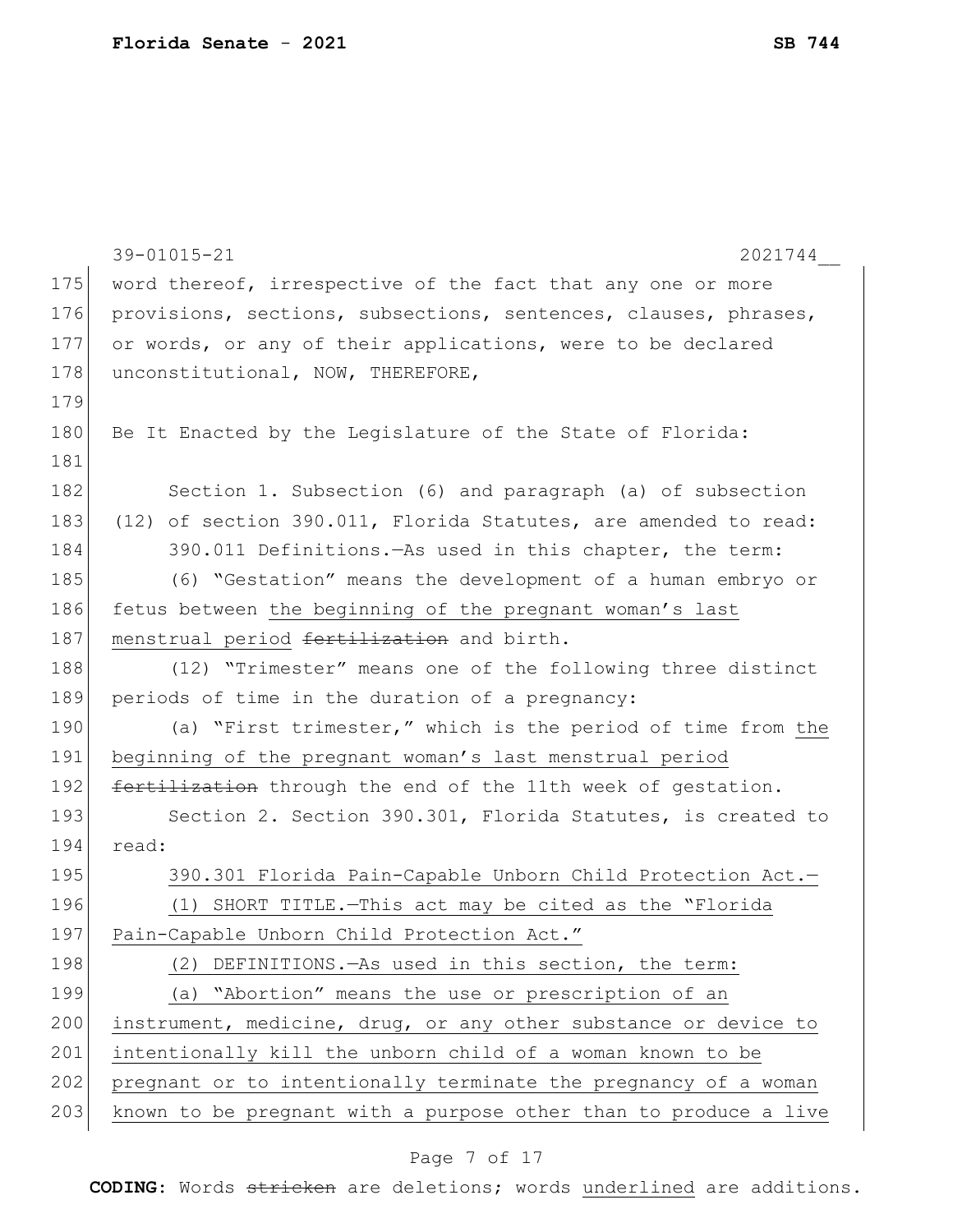|     | 39-01015-21<br>2021744                                           |
|-----|------------------------------------------------------------------|
| 175 | word thereof, irrespective of the fact that any one or more      |
| 176 | provisions, sections, subsections, sentences, clauses, phrases,  |
| 177 | or words, or any of their applications, were to be declared      |
| 178 | unconstitutional, NOW, THEREFORE,                                |
| 179 |                                                                  |
| 180 | Be It Enacted by the Leqislature of the State of Florida:        |
| 181 |                                                                  |
| 182 | Section 1. Subsection (6) and paragraph (a) of subsection        |
| 183 | (12) of section 390.011, Florida Statutes, are amended to read:  |
| 184 | 390.011 Definitions. - As used in this chapter, the term:        |
| 185 | (6) "Gestation" means the development of a human embryo or       |
| 186 | fetus between the beginning of the pregnant woman's last         |
| 187 | menstrual period fertilization and birth.                        |
| 188 | (12) "Trimester" means one of the following three distinct       |
| 189 | periods of time in the duration of a pregnancy:                  |
| 190 | (a) "First trimester," which is the period of time from the      |
| 191 | beginning of the pregnant woman's last menstrual period          |
| 192 | fertilization through the end of the 11th week of gestation.     |
| 193 | Section 2. Section 390.301, Florida Statutes, is created to      |
| 194 | read:                                                            |
| 195 | 390.301 Florida Pain-Capable Unborn Child Protection Act.-       |
| 196 | (1) SHORT TITLE. - This act may be cited as the "Florida         |
| 197 | Pain-Capable Unborn Child Protection Act."                       |
| 198 | (2) DEFINITIONS. - As used in this section, the term:            |
| 199 | (a) "Abortion" means the use or prescription of an               |
| 200 | instrument, medicine, drug, or any other substance or device to  |
| 201 | intentionally kill the unborn child of a woman known to be       |
| 202 | pregnant or to intentionally terminate the pregnancy of a woman  |
| 203 | known to be pregnant with a purpose other than to produce a live |
|     |                                                                  |

# Page 7 of 17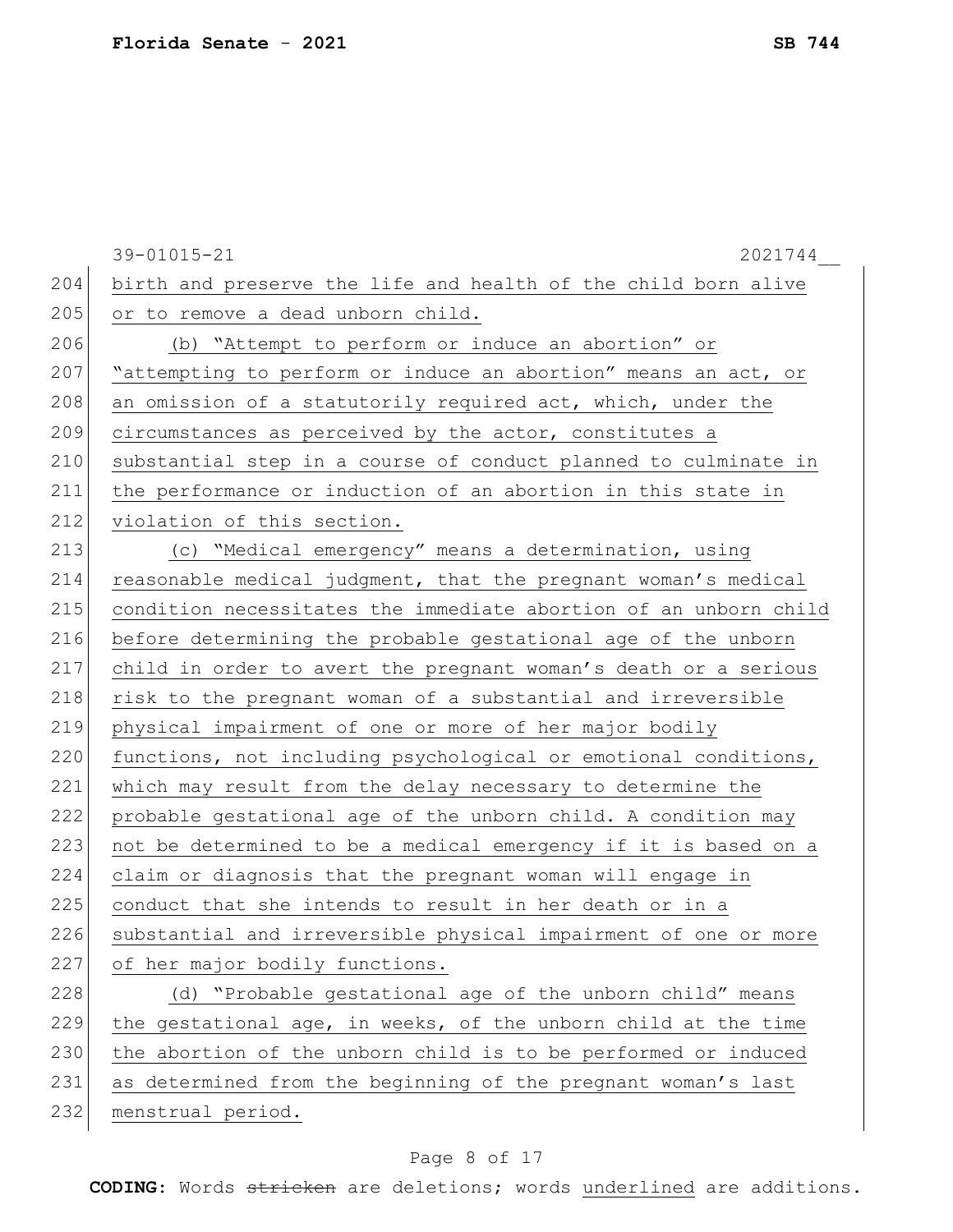|     | 39-01015-21<br>2021744                                           |
|-----|------------------------------------------------------------------|
| 204 | birth and preserve the life and health of the child born alive   |
| 205 | or to remove a dead unborn child.                                |
| 206 | (b) "Attempt to perform or induce an abortion" or                |
| 207 | "attempting to perform or induce an abortion" means an act, or   |
| 208 | an omission of a statutorily required act, which, under the      |
| 209 | circumstances as perceived by the actor, constitutes a           |
| 210 | substantial step in a course of conduct planned to culminate in  |
| 211 | the performance or induction of an abortion in this state in     |
| 212 | violation of this section.                                       |
| 213 | (c) "Medical emergency" means a determination, using             |
| 214 | reasonable medical judgment, that the pregnant woman's medical   |
| 215 | condition necessitates the immediate abortion of an unborn child |
| 216 | before determining the probable gestational age of the unborn    |
| 217 | child in order to avert the pregnant woman's death or a serious  |
| 218 | risk to the pregnant woman of a substantial and irreversible     |
| 219 | physical impairment of one or more of her major bodily           |
| 220 | functions, not including psychological or emotional conditions,  |
| 221 | which may result from the delay necessary to determine the       |
| 222 | probable gestational age of the unborn child. A condition may    |
| 223 | not be determined to be a medical emergency if it is based on a  |
| 224 | claim or diagnosis that the pregnant woman will engage in        |
| 225 | conduct that she intends to result in her death or in a          |
| 226 | substantial and irreversible physical impairment of one or more  |
| 227 | of her major bodily functions.                                   |
| 228 | (d) "Probable gestational age of the unborn child" means         |
| 229 | the gestational age, in weeks, of the unborn child at the time   |
| 230 | the abortion of the unborn child is to be performed or induced   |
| 231 | as determined from the beginning of the pregnant woman's last    |
| 232 | menstrual period.                                                |

# Page 8 of 17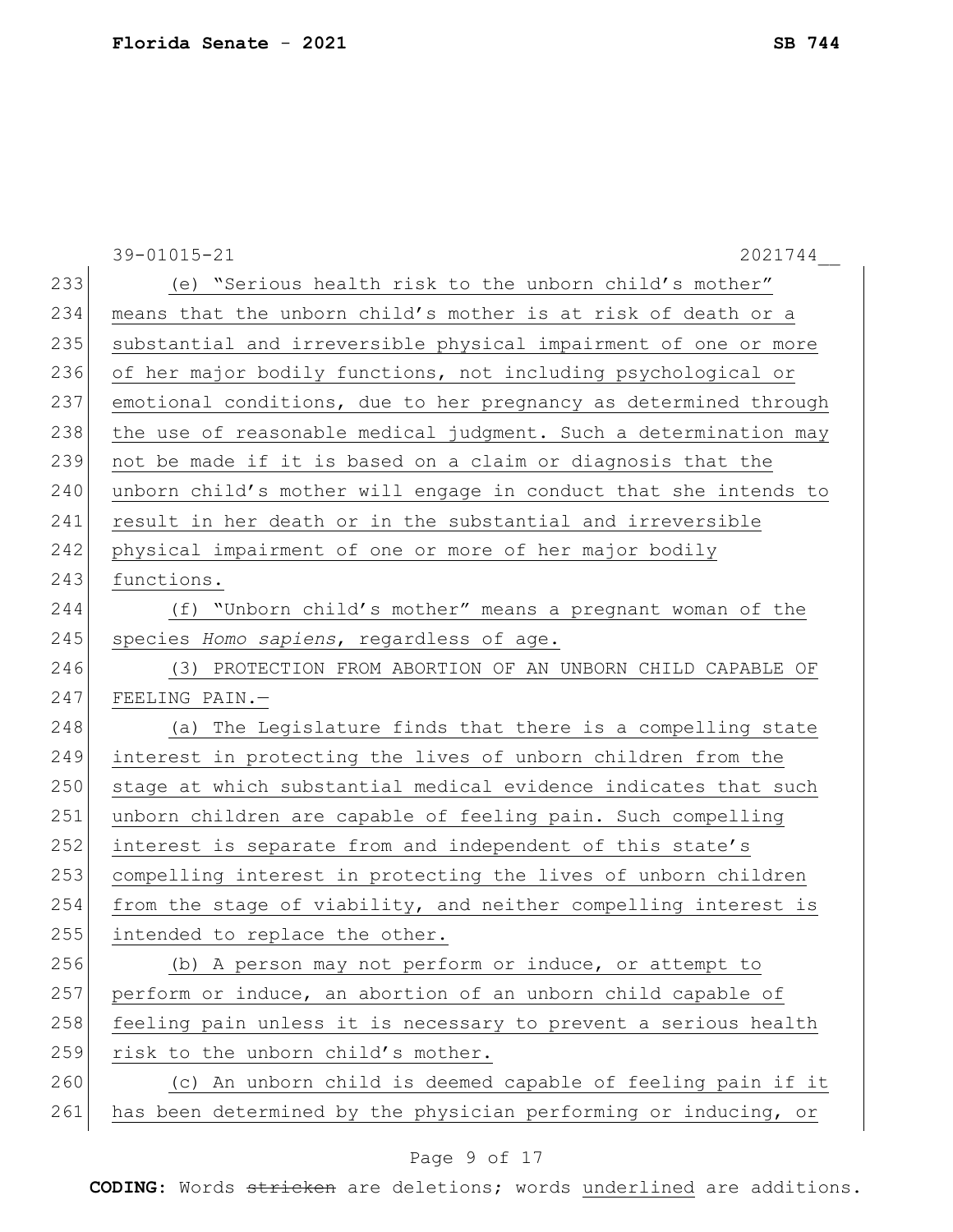|     | 39-01015-21<br>2021744                                           |
|-----|------------------------------------------------------------------|
| 233 | (e) "Serious health risk to the unborn child's mother"           |
| 234 | means that the unborn child's mother is at risk of death or a    |
| 235 | substantial and irreversible physical impairment of one or more  |
| 236 | of her major bodily functions, not including psychological or    |
| 237 | emotional conditions, due to her pregnancy as determined through |
| 238 | the use of reasonable medical judgment. Such a determination may |
| 239 | not be made if it is based on a claim or diagnosis that the      |
| 240 | unborn child's mother will engage in conduct that she intends to |
| 241 | result in her death or in the substantial and irreversible       |
| 242 | physical impairment of one or more of her major bodily           |
| 243 | functions.                                                       |
| 244 | (f) "Unborn child's mother" means a pregnant woman of the        |
| 245 | species Homo sapiens, regardless of age.                         |
| 246 | (3) PROTECTION FROM ABORTION OF AN UNBORN CHILD CAPABLE OF       |
| 247 | FEELING PAIN.-                                                   |
| 248 | (a) The Legislature finds that there is a compelling state       |
| 249 | interest in protecting the lives of unborn children from the     |
| 250 | stage at which substantial medical evidence indicates that such  |
| 251 | unborn children are capable of feeling pain. Such compelling     |
| 252 | interest is separate from and independent of this state's        |
| 253 | compelling interest in protecting the lives of unborn children   |
| 254 | from the stage of viability, and neither compelling interest is  |
| 255 | intended to replace the other.                                   |
| 256 | (b) A person may not perform or induce, or attempt to            |
| 257 | perform or induce, an abortion of an unborn child capable of     |
| 258 | feeling pain unless it is necessary to prevent a serious health  |
| 259 | risk to the unborn child's mother.                               |
| 260 | (c) An unborn child is deemed capable of feeling pain if it      |
| 261 | has been determined by the physician performing or inducing, or  |

# Page 9 of 17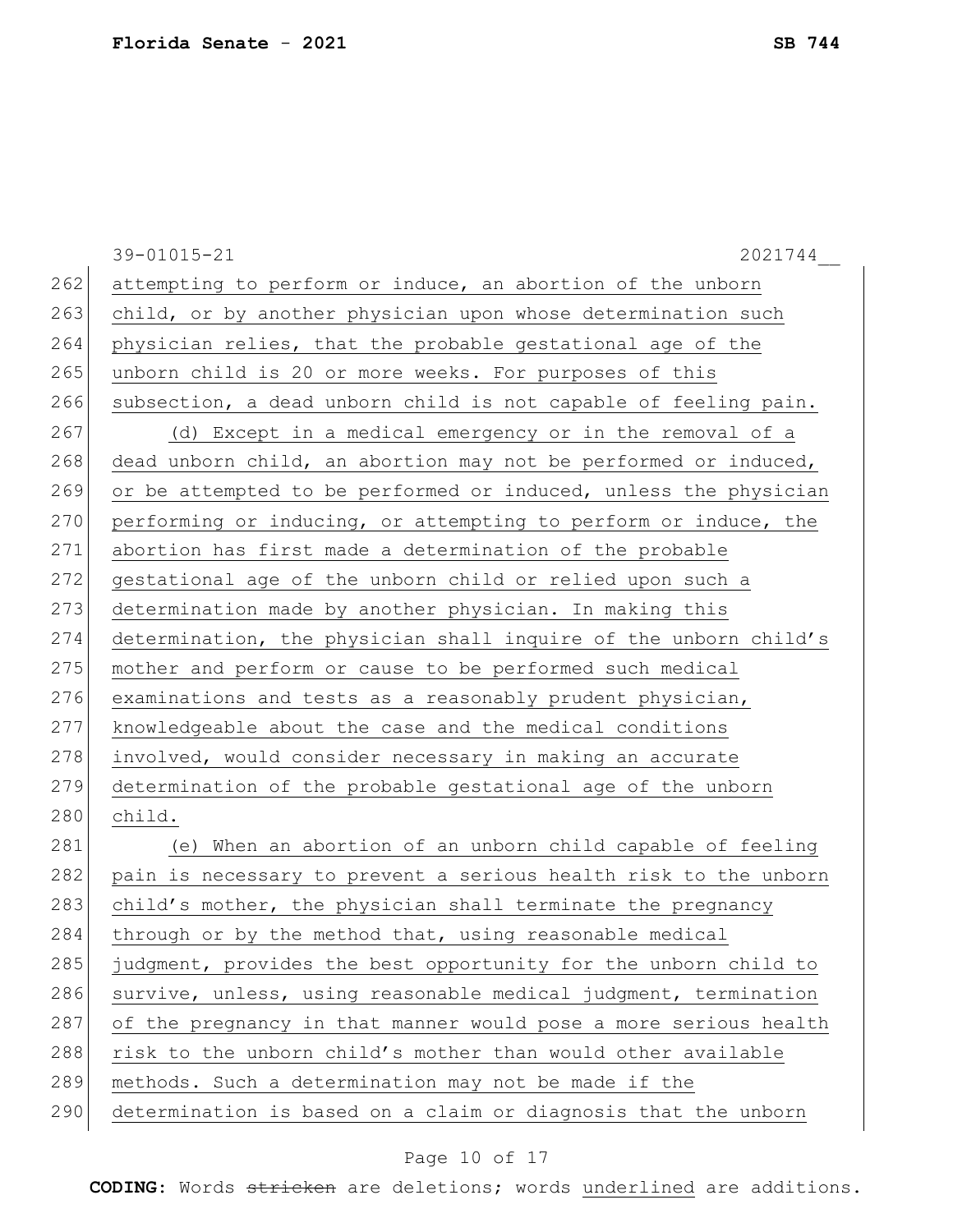|     | 39-01015-21<br>2021744                                           |
|-----|------------------------------------------------------------------|
| 262 | attempting to perform or induce, an abortion of the unborn       |
| 263 | child, or by another physician upon whose determination such     |
| 264 | physician relies, that the probable gestational age of the       |
| 265 | unborn child is 20 or more weeks. For purposes of this           |
| 266 | subsection, a dead unborn child is not capable of feeling pain.  |
| 267 | (d) Except in a medical emergency or in the removal of a         |
| 268 | dead unborn child, an abortion may not be performed or induced,  |
| 269 | or be attempted to be performed or induced, unless the physician |
| 270 | performing or inducing, or attempting to perform or induce, the  |
| 271 | abortion has first made a determination of the probable          |
| 272 | gestational age of the unborn child or relied upon such a        |
| 273 | determination made by another physician. In making this          |
| 274 | determination, the physician shall inquire of the unborn child's |
| 275 | mother and perform or cause to be performed such medical         |
| 276 | examinations and tests as a reasonably prudent physician,        |
| 277 | knowledgeable about the case and the medical conditions          |
| 278 | involved, would consider necessary in making an accurate         |
| 279 | determination of the probable gestational age of the unborn      |
| 280 | child.                                                           |
| 281 | (e) When an abortion of an unborn child capable of feeling       |
| 282 | pain is necessary to prevent a serious health risk to the unborn |
| 283 | child's mother, the physician shall terminate the pregnancy      |
| 284 | through or by the method that, using reasonable medical          |
| 285 | judgment, provides the best opportunity for the unborn child to  |
| 286 | survive, unless, using reasonable medical judgment, termination  |
| 287 | of the pregnancy in that manner would pose a more serious health |
| 288 | risk to the unborn child's mother than would other available     |
| 289 | methods. Such a determination may not be made if the             |
| 290 | determination is based on a claim or diagnosis that the unborn   |
|     |                                                                  |

# Page 10 of 17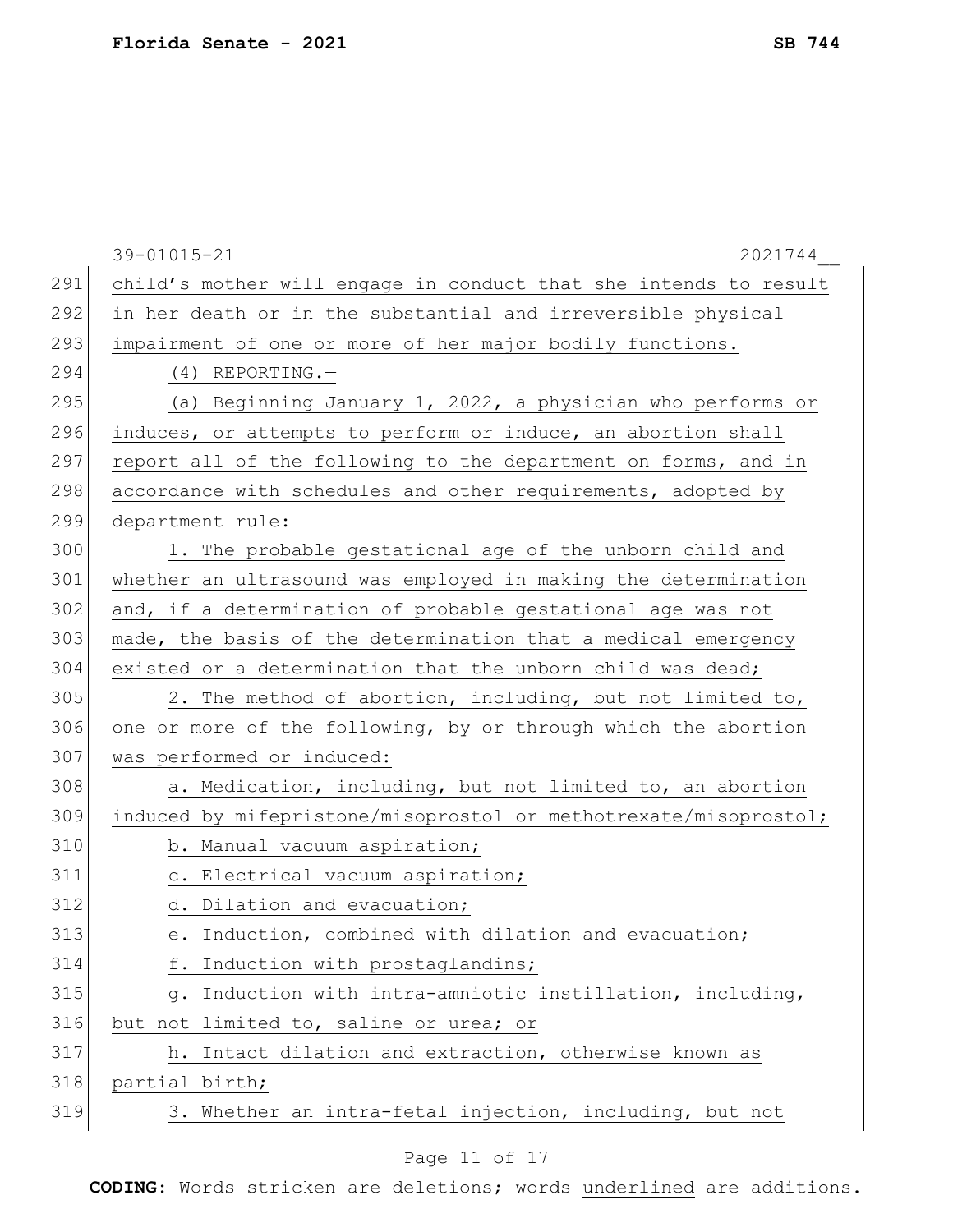|     | 39-01015-21<br>2021744                                           |
|-----|------------------------------------------------------------------|
| 291 | child's mother will engage in conduct that she intends to result |
| 292 | in her death or in the substantial and irreversible physical     |
| 293 | impairment of one or more of her major bodily functions.         |
| 294 | $(4)$ REPORTING. -                                               |
| 295 | (a) Beginning January 1, 2022, a physician who performs or       |
| 296 | induces, or attempts to perform or induce, an abortion shall     |
| 297 | report all of the following to the department on forms, and in   |
| 298 | accordance with schedules and other requirements, adopted by     |
| 299 | department rule:                                                 |
| 300 | 1. The probable gestational age of the unborn child and          |
| 301 | whether an ultrasound was employed in making the determination   |
| 302 | and, if a determination of probable gestational age was not      |
| 303 | made, the basis of the determination that a medical emergency    |
| 304 | existed or a determination that the unborn child was dead;       |
| 305 | 2. The method of abortion, including, but not limited to,        |
| 306 | one or more of the following, by or through which the abortion   |
| 307 | was performed or induced:                                        |
| 308 | a. Medication, including, but not limited to, an abortion        |
| 309 | induced by mifepristone/misoprostol or methotrexate/misoprostol; |
| 310 | b. Manual vacuum aspiration;                                     |
| 311 | c. Electrical vacuum aspiration;                                 |
| 312 | d. Dilation and evacuation;                                      |
| 313 | e. Induction, combined with dilation and evacuation;             |
| 314 | f. Induction with prostaglandins;                                |
| 315 | Induction with intra-amniotic instillation, including,<br>q.     |
| 316 | but not limited to, saline or urea; or                           |
| 317 | h. Intact dilation and extraction, otherwise known as            |
| 318 | partial birth;                                                   |
| 319 | 3. Whether an intra-fetal injection, including, but not          |

# Page 11 of 17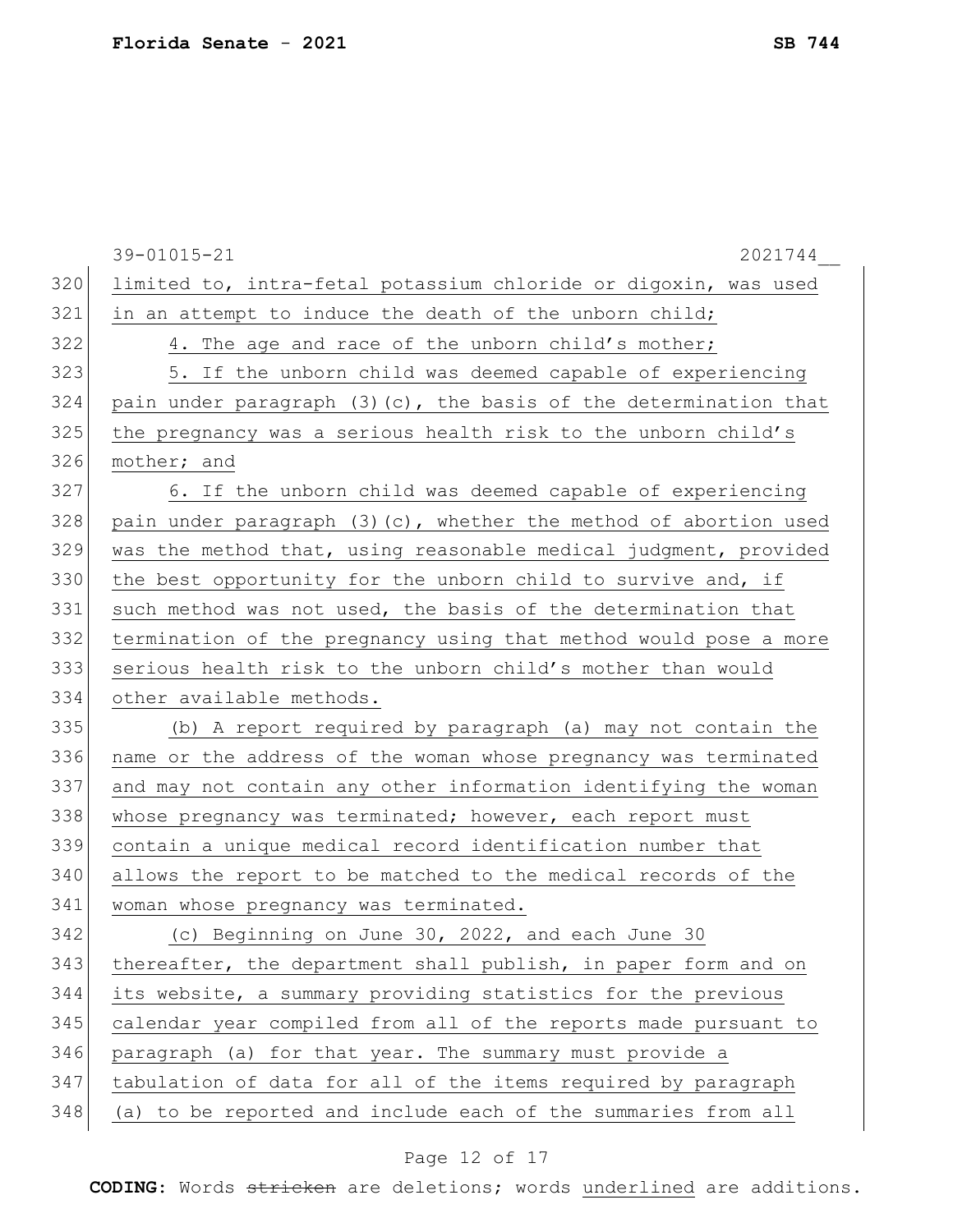|     | 39-01015-21<br>2021744                                            |
|-----|-------------------------------------------------------------------|
| 320 | limited to, intra-fetal potassium chloride or digoxin, was used   |
| 321 | in an attempt to induce the death of the unborn child;            |
| 322 | 4. The age and race of the unborn child's mother;                 |
| 323 | 5. If the unborn child was deemed capable of experiencing         |
| 324 | pain under paragraph (3) (c), the basis of the determination that |
| 325 | the pregnancy was a serious health risk to the unborn child's     |
| 326 | mother; and                                                       |
| 327 | 6. If the unborn child was deemed capable of experiencing         |
| 328 | pain under paragraph (3) (c), whether the method of abortion used |
| 329 | was the method that, using reasonable medical judgment, provided  |
| 330 | the best opportunity for the unborn child to survive and, if      |
| 331 | such method was not used, the basis of the determination that     |
| 332 | termination of the pregnancy using that method would pose a more  |
| 333 | serious health risk to the unborn child's mother than would       |
| 334 | other available methods.                                          |
| 335 | (b) A report required by paragraph (a) may not contain the        |
| 336 | name or the address of the woman whose pregnancy was terminated   |
| 337 | and may not contain any other information identifying the woman   |
| 338 | whose pregnancy was terminated; however, each report must         |
| 339 | contain a unique medical record identification number that        |
| 340 | allows the report to be matched to the medical records of the     |
| 341 | woman whose pregnancy was terminated.                             |
| 342 | (c) Beginning on June 30, 2022, and each June 30                  |
| 343 | thereafter, the department shall publish, in paper form and on    |
| 344 | its website, a summary providing statistics for the previous      |
| 345 | calendar year compiled from all of the reports made pursuant to   |
| 346 | paragraph (a) for that year. The summary must provide a           |
| 347 | tabulation of data for all of the items required by paragraph     |
| 348 | (a) to be reported and include each of the summaries from all     |

# Page 12 of 17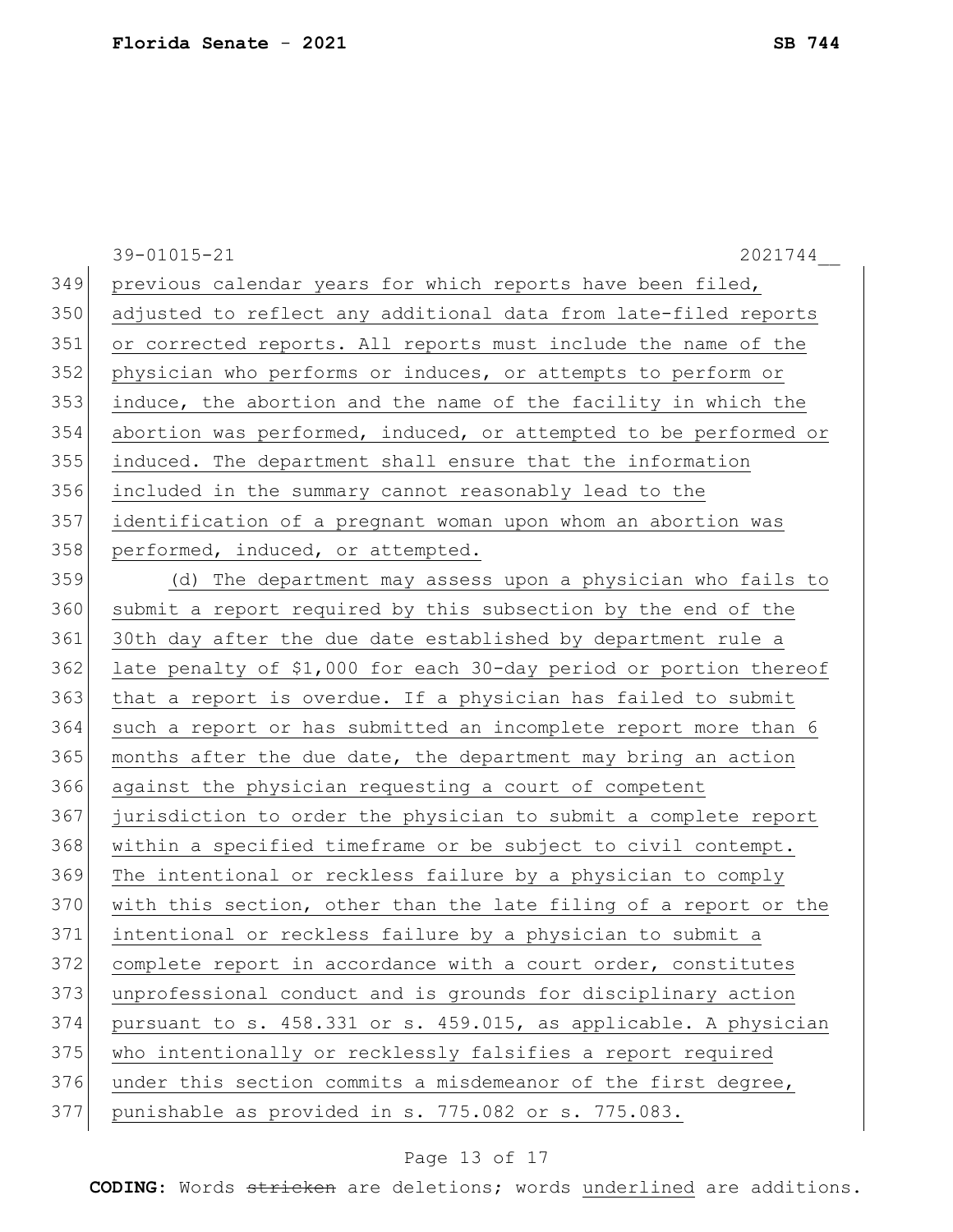39-01015-21 2021744\_\_ 349 previous calendar years for which reports have been filed, adjusted to reflect any additional data from late-filed reports or corrected reports. All reports must include the name of the physician who performs or induces, or attempts to perform or induce, the abortion and the name of the facility in which the abortion was performed, induced, or attempted to be performed or induced. The department shall ensure that the information included in the summary cannot reasonably lead to the identification of a pregnant woman upon whom an abortion was 358 performed, induced, or attempted. (d) The department may assess upon a physician who fails to 360 submit a report required by this subsection by the end of the 30th day after the due date established by department rule a late penalty of \$1,000 for each 30-day period or portion thereof 363 that a report is overdue. If a physician has failed to submit such a report or has submitted an incomplete report more than 6 months after the due date, the department may bring an action against the physician requesting a court of competent jurisdiction to order the physician to submit a complete report within a specified timeframe or be subject to civil contempt. The intentional or reckless failure by a physician to comply with this section, other than the late filing of a report or the intentional or reckless failure by a physician to submit a complete report in accordance with a court order, constitutes unprofessional conduct and is grounds for disciplinary action pursuant to s. 458.331 or s. 459.015, as applicable. A physician who intentionally or recklessly falsifies a report required 376 under this section commits a misdemeanor of the first degree, punishable as provided in s. 775.082 or s. 775.083.

#### Page 13 of 17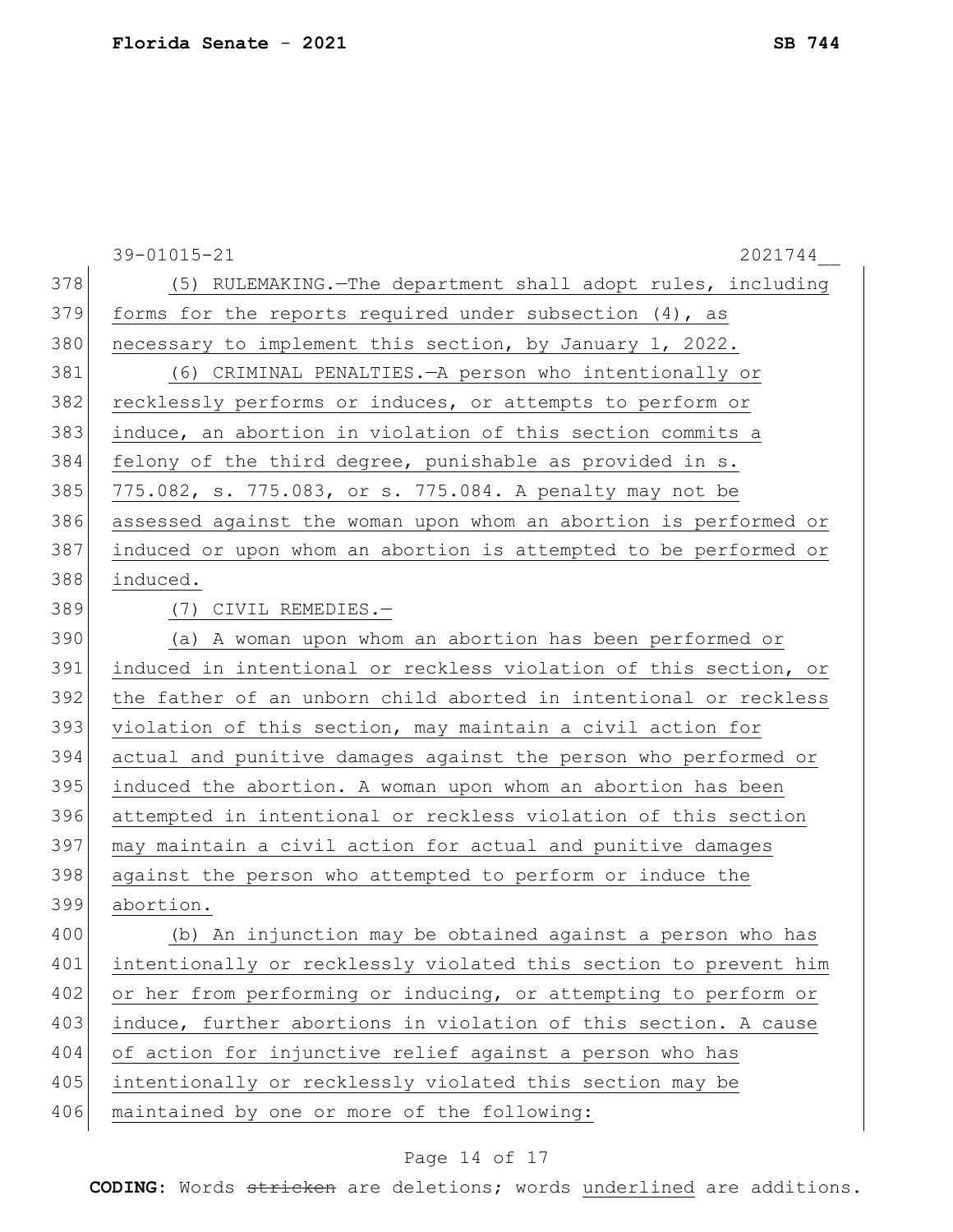|     | $39 - 01015 - 21$<br>2021744                                     |
|-----|------------------------------------------------------------------|
| 378 | (5) RULEMAKING. - The department shall adopt rules, including    |
| 379 | forms for the reports required under subsection $(4)$ , as       |
| 380 | necessary to implement this section, by January 1, 2022.         |
| 381 | (6) CRIMINAL PENALTIES. - A person who intentionally or          |
| 382 | recklessly performs or induces, or attempts to perform or        |
| 383 | induce, an abortion in violation of this section commits a       |
| 384 | felony of the third degree, punishable as provided in s.         |
| 385 | 775.082, s. 775.083, or s. 775.084. A penalty may not be         |
| 386 | assessed against the woman upon whom an abortion is performed or |
| 387 | induced or upon whom an abortion is attempted to be performed or |
| 388 | induced.                                                         |
| 389 | (7) CIVIL REMEDIES.-                                             |
| 390 | (a) A woman upon whom an abortion has been performed or          |
| 391 | induced in intentional or reckless violation of this section, or |
| 392 | the father of an unborn child aborted in intentional or reckless |
| 393 | violation of this section, may maintain a civil action for       |
| 394 | actual and punitive damages against the person who performed or  |
| 395 | induced the abortion. A woman upon whom an abortion has been     |
| 396 | attempted in intentional or reckless violation of this section   |
| 397 | may maintain a civil action for actual and punitive damages      |
| 398 | against the person who attempted to perform or induce the        |
| 399 | abortion.                                                        |
| 400 | (b) An injunction may be obtained against a person who has       |
| 401 | intentionally or recklessly violated this section to prevent him |
| 402 | or her from performing or inducing, or attempting to perform or  |
| 403 | induce, further abortions in violation of this section. A cause  |
| 404 | of action for injunctive relief against a person who has         |
| 405 | intentionally or recklessly violated this section may be         |
| 406 | maintained by one or more of the following:                      |
|     |                                                                  |

# Page 14 of 17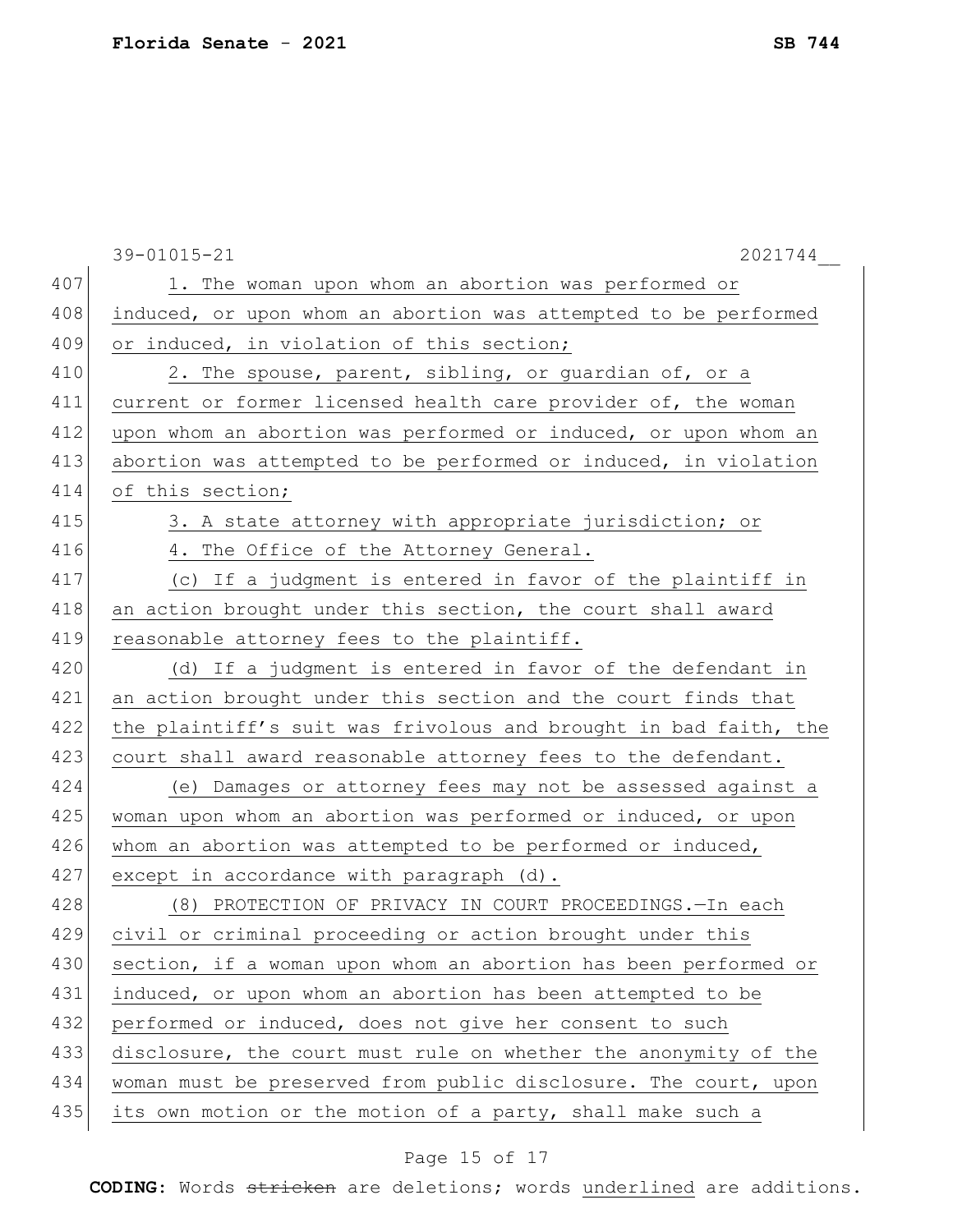|     | 39-01015-21<br>2021744                                           |
|-----|------------------------------------------------------------------|
| 407 | 1. The woman upon whom an abortion was performed or              |
| 408 | induced, or upon whom an abortion was attempted to be performed  |
| 409 | or induced, in violation of this section;                        |
| 410 | 2. The spouse, parent, sibling, or guardian of, or a             |
| 411 | current or former licensed health care provider of, the woman    |
| 412 | upon whom an abortion was performed or induced, or upon whom an  |
| 413 | abortion was attempted to be performed or induced, in violation  |
| 414 | of this section;                                                 |
| 415 | 3. A state attorney with appropriate jurisdiction; or            |
| 416 | 4. The Office of the Attorney General.                           |
| 417 | (c) If a judgment is entered in favor of the plaintiff in        |
| 418 | an action brought under this section, the court shall award      |
| 419 | reasonable attorney fees to the plaintiff.                       |
| 420 | (d) If a judgment is entered in favor of the defendant in        |
| 421 | an action brought under this section and the court finds that    |
| 422 | the plaintiff's suit was frivolous and brought in bad faith, the |
| 423 | court shall award reasonable attorney fees to the defendant.     |
| 424 | (e) Damages or attorney fees may not be assessed against a       |
| 425 | woman upon whom an abortion was performed or induced, or upon    |
| 426 | whom an abortion was attempted to be performed or induced,       |
| 427 | except in accordance with paragraph (d).                         |
| 428 | (8) PROTECTION OF PRIVACY IN COURT PROCEEDINGS. - In each        |
| 429 | civil or criminal proceeding or action brought under this        |
| 430 | section, if a woman upon whom an abortion has been performed or  |
| 431 | induced, or upon whom an abortion has been attempted to be       |
| 432 | performed or induced, does not give her consent to such          |
| 433 | disclosure, the court must rule on whether the anonymity of the  |
| 434 | woman must be preserved from public disclosure. The court, upon  |
| 435 | its own motion or the motion of a party, shall make such a       |
|     |                                                                  |

# Page 15 of 17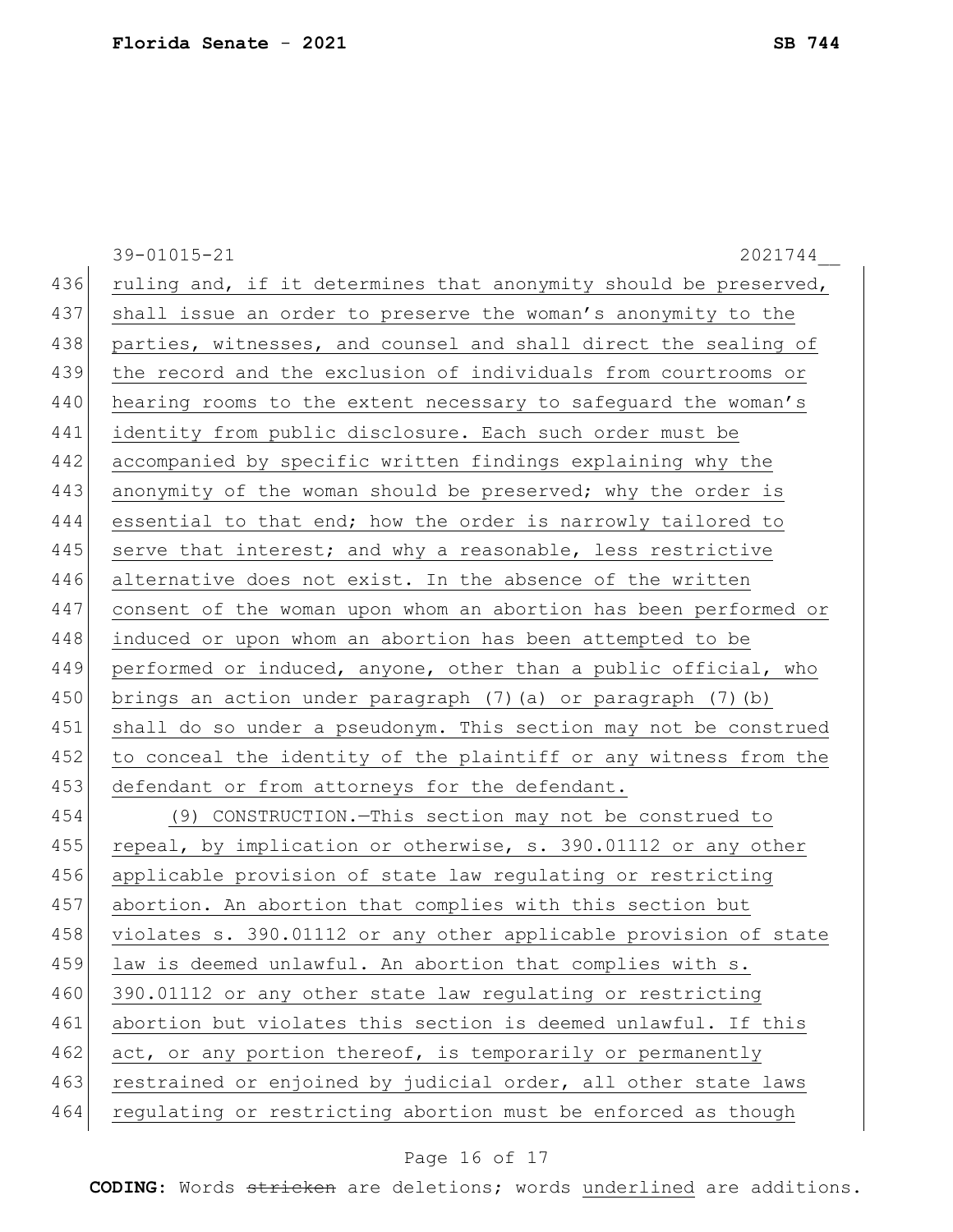|     | 39-01015-21<br>2021744                                           |
|-----|------------------------------------------------------------------|
| 436 | ruling and, if it determines that anonymity should be preserved, |
| 437 | shall issue an order to preserve the woman's anonymity to the    |
| 438 | parties, witnesses, and counsel and shall direct the sealing of  |
| 439 | the record and the exclusion of individuals from courtrooms or   |
| 440 | hearing rooms to the extent necessary to safequard the woman's   |
| 441 | identity from public disclosure. Each such order must be         |
| 442 | accompanied by specific written findings explaining why the      |
| 443 | anonymity of the woman should be preserved; why the order is     |
| 444 | essential to that end; how the order is narrowly tailored to     |
| 445 | serve that interest; and why a reasonable, less restrictive      |
| 446 | alternative does not exist. In the absence of the written        |
| 447 | consent of the woman upon whom an abortion has been performed or |
| 448 | induced or upon whom an abortion has been attempted to be        |
| 449 | performed or induced, anyone, other than a public official, who  |
| 450 | brings an action under paragraph (7) (a) or paragraph (7) (b)    |
| 451 | shall do so under a pseudonym. This section may not be construed |
| 452 | to conceal the identity of the plaintiff or any witness from the |
| 453 | defendant or from attorneys for the defendant.                   |
| 454 | (9) CONSTRUCTION. - This section may not be construed to         |
| 455 | repeal, by implication or otherwise, s. 390.01112 or any other   |
| 456 | applicable provision of state law regulating or restricting      |
| 457 | abortion. An abortion that complies with this section but        |
| 458 | violates s. 390.01112 or any other applicable provision of state |
| 459 | law is deemed unlawful. An abortion that complies with s.        |
| 460 | 390.01112 or any other state law regulating or restricting       |
| 461 | abortion but violates this section is deemed unlawful. If this   |
| 462 | act, or any portion thereof, is temporarily or permanently       |
| 463 | restrained or enjoined by judicial order, all other state laws   |
| 464 | regulating or restricting abortion must be enforced as though    |

# Page 16 of 17